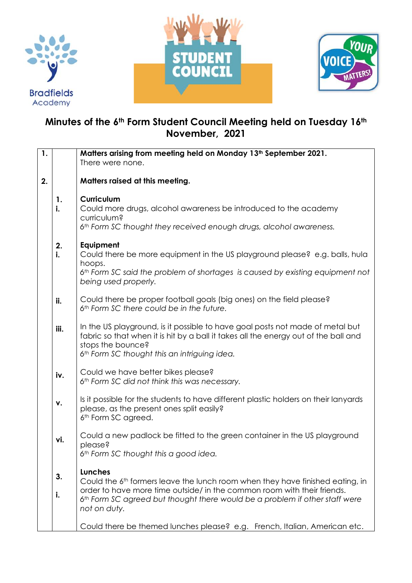





## **Minutes of the 6th Form Student Council Meeting held on Tuesday 16th November, 2021**

| $\overline{\mathbf{1}}$ . |          | Matters arising from meeting held on Monday 13 <sup>th</sup> September 2021.<br>There were none.                                                                                                                                                                                                  |
|---------------------------|----------|---------------------------------------------------------------------------------------------------------------------------------------------------------------------------------------------------------------------------------------------------------------------------------------------------|
| 2.                        |          | Matters raised at this meeting.                                                                                                                                                                                                                                                                   |
|                           | 1.<br>i. | <b>Curriculum</b><br>Could more drugs, alcohol awareness be introduced to the academy<br>curriculum?<br>6th Form SC thought they received enough drugs, alcohol awareness.                                                                                                                        |
|                           | 2.<br>i. | Equipment<br>Could there be more equipment in the US playground please? e.g. balls, hula<br>hoops.<br>6th Form SC said the problem of shortages is caused by existing equipment not<br>being used properly.                                                                                       |
|                           | ii.      | Could there be proper football goals (big ones) on the field please?<br>6th Form SC there could be in the future.                                                                                                                                                                                 |
|                           | iii.     | In the US playground, is it possible to have goal posts not made of metal but<br>fabric so that when it is hit by a ball it takes all the energy out of the ball and<br>stops the bounce?<br>6th Form SC thought this an intriguing idea.                                                         |
|                           | iv.      | Could we have better bikes please?<br>6th Form SC did not think this was necessary.                                                                                                                                                                                                               |
|                           | ۷.       | Is it possible for the students to have different plastic holders on their lanyards<br>please, as the present ones split easily?<br>6 <sup>th</sup> Form SC agreed.                                                                                                                               |
|                           | vi.      | Could a new padlock be fitted to the green container in the US playground<br>please?<br>6th Form SC thought this a good idea.                                                                                                                                                                     |
|                           | 3.<br>i. | <b>Lunches</b><br>Could the 6 <sup>th</sup> formers leave the lunch room when they have finished eating, in<br>order to have more time outside/ in the common room with their friends.<br>6 <sup>th</sup> Form SC agreed but thought there would be a problem if other staff were<br>not on duty. |
|                           |          | Could there be themed lunches please? e.g. French, Italian, American etc.                                                                                                                                                                                                                         |